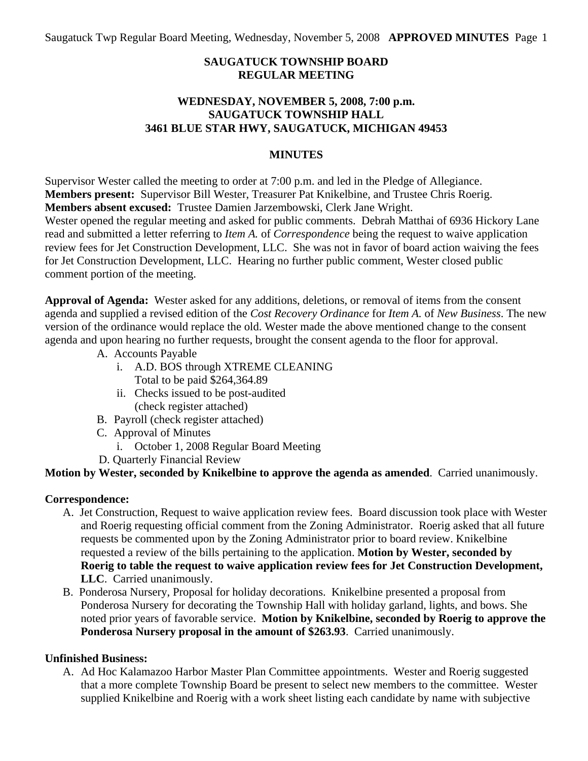Saugatuck Twp Regular Board Meeting, Wednesday, November 5, 2008 **APPROVED MINUTES** Page 1

# **SAUGATUCK TOWNSHIP BOARD REGULAR MEETING**

# **WEDNESDAY, NOVEMBER 5, 2008, 7:00 p.m. SAUGATUCK TOWNSHIP HALL 3461 BLUE STAR HWY, SAUGATUCK, MICHIGAN 49453**

### **MINUTES**

Supervisor Wester called the meeting to order at 7:00 p.m. and led in the Pledge of Allegiance. **Members present:** Supervisor Bill Wester, Treasurer Pat Knikelbine, and Trustee Chris Roerig. **Members absent excused:** Trustee Damien Jarzembowski, Clerk Jane Wright. Wester opened the regular meeting and asked for public comments. Debrah Matthai of 6936 Hickory Lane read and submitted a letter referring to *Item A.* of *Correspondence* being the request to waive application review fees for Jet Construction Development, LLC. She was not in favor of board action waiving the fees for Jet Construction Development, LLC. Hearing no further public comment, Wester closed public

comment portion of the meeting.

**Approval of Agenda:** Wester asked for any additions, deletions, or removal of items from the consent agenda and supplied a revised edition of the *Cost Recovery Ordinance* for *Item A.* of *New Business*. The new version of the ordinance would replace the old. Wester made the above mentioned change to the consent agenda and upon hearing no further requests, brought the consent agenda to the floor for approval.

- A. Accounts Payable
	- i. A.D. BOS through XTREME CLEANING Total to be paid \$264,364.89
	- ii. Checks issued to be post-audited (check register attached)
- B. Payroll (check register attached)
- C. Approval of Minutes
	- i. October 1, 2008 Regular Board Meeting
- D. Quarterly Financial Review

**Motion by Wester, seconded by Knikelbine to approve the agenda as amended**. Carried unanimously.

# **Correspondence:**

- A. Jet Construction, Request to waive application review fees. Board discussion took place with Wester and Roerig requesting official comment from the Zoning Administrator. Roerig asked that all future requests be commented upon by the Zoning Administrator prior to board review. Knikelbine requested a review of the bills pertaining to the application. **Motion by Wester, seconded by Roerig to table the request to waive application review fees for Jet Construction Development, LLC**. Carried unanimously.
- B. Ponderosa Nursery, Proposal for holiday decorations. Knikelbine presented a proposal from Ponderosa Nursery for decorating the Township Hall with holiday garland, lights, and bows. She noted prior years of favorable service. **Motion by Knikelbine, seconded by Roerig to approve the Ponderosa Nursery proposal in the amount of \$263.93**. Carried unanimously.

# **Unfinished Business:**

A. Ad Hoc Kalamazoo Harbor Master Plan Committee appointments. Wester and Roerig suggested that a more complete Township Board be present to select new members to the committee. Wester supplied Knikelbine and Roerig with a work sheet listing each candidate by name with subjective